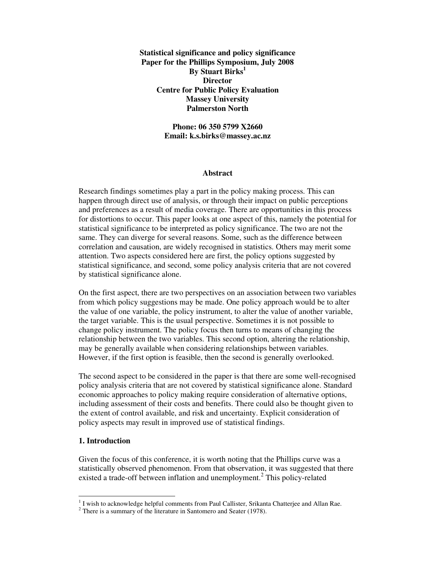**Statistical significance and policy significance Paper for the Phillips Symposium, July 2008 By Stuart Birks<sup>1</sup> Director Centre for Public Policy Evaluation Massey University Palmerston North** 

> **Phone: 06 350 5799 X2660 Email: k.s.birks@massey.ac.nz**

#### **Abstract**

Research findings sometimes play a part in the policy making process. This can happen through direct use of analysis, or through their impact on public perceptions and preferences as a result of media coverage. There are opportunities in this process for distortions to occur. This paper looks at one aspect of this, namely the potential for statistical significance to be interpreted as policy significance. The two are not the same. They can diverge for several reasons. Some, such as the difference between correlation and causation, are widely recognised in statistics. Others may merit some attention. Two aspects considered here are first, the policy options suggested by statistical significance, and second, some policy analysis criteria that are not covered by statistical significance alone.

On the first aspect, there are two perspectives on an association between two variables from which policy suggestions may be made. One policy approach would be to alter the value of one variable, the policy instrument, to alter the value of another variable, the target variable. This is the usual perspective. Sometimes it is not possible to change policy instrument. The policy focus then turns to means of changing the relationship between the two variables. This second option, altering the relationship, may be generally available when considering relationships between variables. However, if the first option is feasible, then the second is generally overlooked.

The second aspect to be considered in the paper is that there are some well-recognised policy analysis criteria that are not covered by statistical significance alone. Standard economic approaches to policy making require consideration of alternative options, including assessment of their costs and benefits. There could also be thought given to the extent of control available, and risk and uncertainty. Explicit consideration of policy aspects may result in improved use of statistical findings.

#### **1. Introduction**

Given the focus of this conference, it is worth noting that the Phillips curve was a statistically observed phenomenon. From that observation, it was suggested that there existed a trade-off between inflation and unemployment.<sup>2</sup> This policy-related

I wish to acknowledge helpful comments from Paul Callister, Srikanta Chatterjee and Allan Rae.

 $2$  There is a summary of the literature in Santomero and Seater (1978).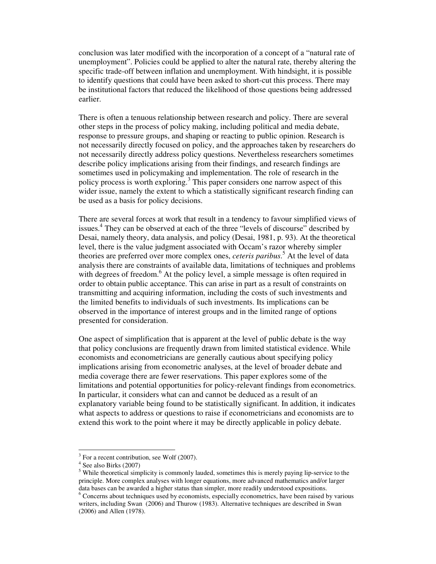conclusion was later modified with the incorporation of a concept of a "natural rate of unemployment". Policies could be applied to alter the natural rate, thereby altering the specific trade-off between inflation and unemployment. With hindsight, it is possible to identify questions that could have been asked to short-cut this process. There may be institutional factors that reduced the likelihood of those questions being addressed earlier.

There is often a tenuous relationship between research and policy. There are several other steps in the process of policy making, including political and media debate, response to pressure groups, and shaping or reacting to public opinion. Research is not necessarily directly focused on policy, and the approaches taken by researchers do not necessarily directly address policy questions. Nevertheless researchers sometimes describe policy implications arising from their findings, and research findings are sometimes used in policymaking and implementation. The role of research in the policy process is worth exploring.<sup>3</sup> This paper considers one narrow aspect of this wider issue, namely the extent to which a statistically significant research finding can be used as a basis for policy decisions.

There are several forces at work that result in a tendency to favour simplified views of issues.<sup>4</sup> They can be observed at each of the three "levels of discourse" described by Desai, namely theory, data analysis, and policy (Desai, 1981, p. 93). At the theoretical level, there is the value judgment associated with Occam's razor whereby simpler theories are preferred over more complex ones, *ceteris paribus*. 5 At the level of data analysis there are constraints of available data, limitations of techniques and problems with degrees of freedom.<sup>6</sup> At the policy level, a simple message is often required in order to obtain public acceptance. This can arise in part as a result of constraints on transmitting and acquiring information, including the costs of such investments and the limited benefits to individuals of such investments. Its implications can be observed in the importance of interest groups and in the limited range of options presented for consideration.

One aspect of simplification that is apparent at the level of public debate is the way that policy conclusions are frequently drawn from limited statistical evidence. While economists and econometricians are generally cautious about specifying policy implications arising from econometric analyses, at the level of broader debate and media coverage there are fewer reservations. This paper explores some of the limitations and potential opportunities for policy-relevant findings from econometrics. In particular, it considers what can and cannot be deduced as a result of an explanatory variable being found to be statistically significant. In addition, it indicates what aspects to address or questions to raise if econometricians and economists are to extend this work to the point where it may be directly applicable in policy debate.

-

<sup>&</sup>lt;sup>3</sup> For a recent contribution, see Wolf (2007).

<sup>4</sup> See also Birks (2007)

<sup>&</sup>lt;sup>5</sup> While theoretical simplicity is commonly lauded, sometimes this is merely paying lip-service to the principle. More complex analyses with longer equations, more advanced mathematics and/or larger data bases can be awarded a higher status than simpler, more readily understood expositions.

<sup>&</sup>lt;sup>6</sup> Concerns about techniques used by economists, especially econometrics, have been raised by various writers, including Swan (2006) and Thurow (1983). Alternative techniques are described in Swan (2006) and Allen (1978).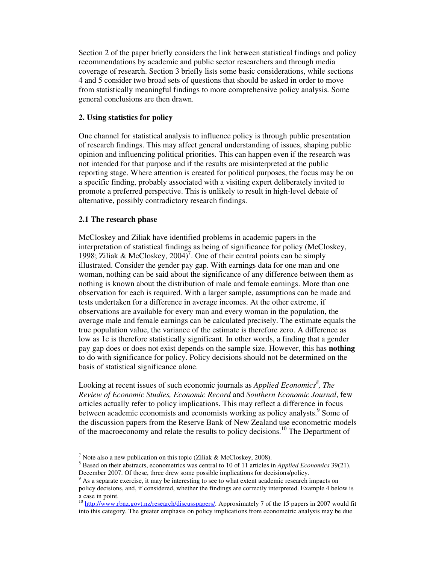Section 2 of the paper briefly considers the link between statistical findings and policy recommendations by academic and public sector researchers and through media coverage of research. Section 3 briefly lists some basic considerations, while sections 4 and 5 consider two broad sets of questions that should be asked in order to move from statistically meaningful findings to more comprehensive policy analysis. Some general conclusions are then drawn.

### **2. Using statistics for policy**

One channel for statistical analysis to influence policy is through public presentation of research findings. This may affect general understanding of issues, shaping public opinion and influencing political priorities. This can happen even if the research was not intended for that purpose and if the results are misinterpreted at the public reporting stage. Where attention is created for political purposes, the focus may be on a specific finding, probably associated with a visiting expert deliberately invited to promote a preferred perspective. This is unlikely to result in high-level debate of alternative, possibly contradictory research findings.

## **2.1 The research phase**

-

McCloskey and Ziliak have identified problems in academic papers in the interpretation of statistical findings as being of significance for policy (McCloskey, 1998; Ziliak & McCloskey,  $2004$ <sup>7</sup>. One of their central points can be simply illustrated. Consider the gender pay gap. With earnings data for one man and one woman, nothing can be said about the significance of any difference between them as nothing is known about the distribution of male and female earnings. More than one observation for each is required. With a larger sample, assumptions can be made and tests undertaken for a difference in average incomes. At the other extreme, if observations are available for every man and every woman in the population, the average male and female earnings can be calculated precisely. The estimate equals the true population value, the variance of the estimate is therefore zero. A difference as low as 1c is therefore statistically significant. In other words, a finding that a gender pay gap does or does not exist depends on the sample size. However, this has **nothing** to do with significance for policy. Policy decisions should not be determined on the basis of statistical significance alone.

Looking at recent issues of such economic journals as *Applied Economics*<sup>8</sup>, The *Review of Economic Studies, Economic Record* and *Southern Economic Journal*, few articles actually refer to policy implications. This may reflect a difference in focus between academic economists and economists working as policy analysts.<sup>9</sup> Some of the discussion papers from the Reserve Bank of New Zealand use econometric models of the macroeconomy and relate the results to policy decisions.<sup>10</sup> The Department of

<sup>&</sup>lt;sup>7</sup> Note also a new publication on this topic (Ziliak & McCloskey, 2008).

<sup>8</sup> Based on their abstracts, econometrics was central to 10 of 11 articles in *Applied Economics* 39(21), December 2007. Of these, three drew some possible implications for decisions/policy.

<sup>9</sup> As a separate exercise, it may be interesting to see to what extent academic research impacts on policy decisions, and, if considered, whether the findings are correctly interpreted. Example 4 below is a case in point.

<sup>&</sup>lt;sup>10</sup> http://www.rbnz.govt.nz/research/discusspapers/. Approximately 7 of the 15 papers in 2007 would fit into this category. The greater emphasis on policy implications from econometric analysis may be due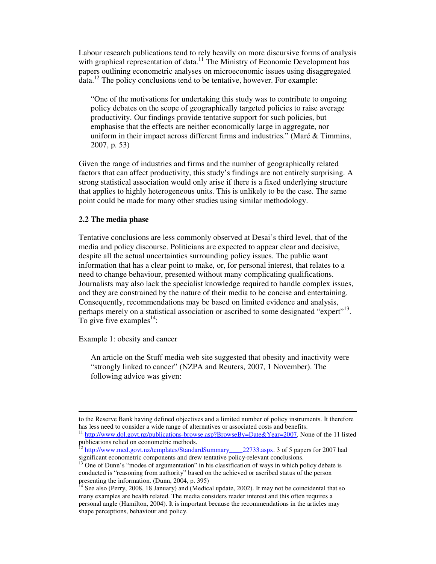Labour research publications tend to rely heavily on more discursive forms of analysis with graphical representation of data.<sup>11</sup> The Ministry of Economic Development has papers outlining econometric analyses on microeconomic issues using disaggregated  $data<sup>12</sup>$ . The policy conclusions tend to be tentative, however. For example:

"One of the motivations for undertaking this study was to contribute to ongoing policy debates on the scope of geographically targeted policies to raise average productivity. Our findings provide tentative support for such policies, but emphasise that the effects are neither economically large in aggregate, nor uniform in their impact across different firms and industries." (Maré & Timmins, 2007, p. 53)

Given the range of industries and firms and the number of geographically related factors that can affect productivity, this study's findings are not entirely surprising. A strong statistical association would only arise if there is a fixed underlying structure that applies to highly heterogeneous units. This is unlikely to be the case. The same point could be made for many other studies using similar methodology.

## **2.2 The media phase**

Tentative conclusions are less commonly observed at Desai's third level, that of the media and policy discourse. Politicians are expected to appear clear and decisive, despite all the actual uncertainties surrounding policy issues. The public want information that has a clear point to make, or, for personal interest, that relates to a need to change behaviour, presented without many complicating qualifications. Journalists may also lack the specialist knowledge required to handle complex issues, and they are constrained by the nature of their media to be concise and entertaining. Consequently, recommendations may be based on limited evidence and analysis, perhaps merely on a statistical association or ascribed to some designated "expert"<sup>13</sup>. To give five examples<sup>14</sup>:

Example 1: obesity and cancer

-

An article on the Stuff media web site suggested that obesity and inactivity were "strongly linked to cancer" (NZPA and Reuters, 2007, 1 November). The following advice was given:

to the Reserve Bank having defined objectives and a limited number of policy instruments. It therefore has less need to consider a wide range of alternatives or associated costs and benefits.

<sup>&</sup>lt;sup>11</sup> http://www.dol.govt.nz/publications-browse.asp?BrowseBy=Date&Year=2007, None of the 11 listed publications relied on econometric methods.

<sup>&</sup>lt;sup>12</sup> http://www.med.govt.nz/templates/StandardSummary\_\_\_\_22733.aspx. 3 of 5 papers for 2007 had significant econometric components and drew tentative policy-relevant conclusions.

<sup>13</sup> One of Dunn's "modes of argumentation" in his classification of ways in which policy debate is conducted is "reasoning from authority" based on the achieved or ascribed status of the person presenting the information. (Dunn, 2004, p. 395)

<sup>&</sup>lt;sup>14</sup> See also (Perry, 2008, 18 January) and (Medical update, 2002). It may not be coincidental that so many examples are health related. The media considers reader interest and this often requires a personal angle (Hamilton, 2004). It is important because the recommendations in the articles may shape perceptions, behaviour and policy.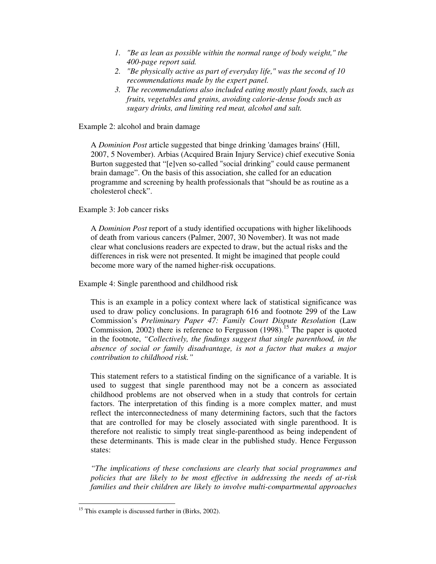- *1. "Be as lean as possible within the normal range of body weight," the 400-page report said.*
- *2. "Be physically active as part of everyday life," was the second of 10 recommendations made by the expert panel.*
- *3. The recommendations also included eating mostly plant foods, such as fruits, vegetables and grains, avoiding calorie-dense foods such as sugary drinks, and limiting red meat, alcohol and salt.*

Example 2: alcohol and brain damage

A *Dominion Post* article suggested that binge drinking 'damages brains' (Hill, 2007, 5 November). Arbias (Acquired Brain Injury Service) chief executive Sonia Burton suggested that "[e]ven so-called "social drinking" could cause permanent brain damage". On the basis of this association, she called for an education programme and screening by health professionals that "should be as routine as a cholesterol check".

Example 3: Job cancer risks

A *Dominion Post* report of a study identified occupations with higher likelihoods of death from various cancers (Palmer, 2007, 30 November). It was not made clear what conclusions readers are expected to draw, but the actual risks and the differences in risk were not presented. It might be imagined that people could become more wary of the named higher-risk occupations.

Example 4: Single parenthood and childhood risk

This is an example in a policy context where lack of statistical significance was used to draw policy conclusions. In paragraph 616 and footnote 299 of the Law Commission's *Preliminary Paper 47: Family Court Dispute Resolution* (Law Commission, 2002) there is reference to Fergusson  $(1998)$ <sup>15</sup>. The paper is quoted in the footnote, *"Collectively, the findings suggest that single parenthood, in the absence of social or family disadvantage, is not a factor that makes a major contribution to childhood risk."*

This statement refers to a statistical finding on the significance of a variable. It is used to suggest that single parenthood may not be a concern as associated childhood problems are not observed when in a study that controls for certain factors. The interpretation of this finding is a more complex matter, and must reflect the interconnectedness of many determining factors, such that the factors that are controlled for may be closely associated with single parenthood. It is therefore not realistic to simply treat single-parenthood as being independent of these determinants. This is made clear in the published study. Hence Fergusson states:

*"The implications of these conclusions are clearly that social programmes and policies that are likely to be most effective in addressing the needs of at-risk families and their children are likely to involve multi-compartmental approaches* 

-

<sup>&</sup>lt;sup>15</sup> This example is discussed further in (Birks, 2002).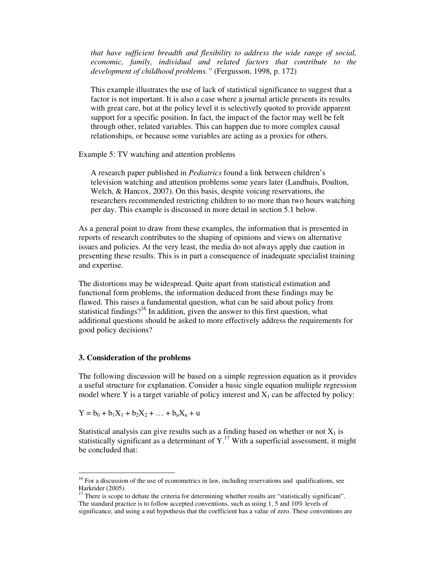*that have sufficient breadth and flexibility to address the wide range of social, economic, family, individual and related factors that contribute to the development of childhood problems."* (Fergusson, 1998, p. 172)

This example illustrates the use of lack of statistical significance to suggest that a factor is not important. It is also a case where a journal article presents its results with great care, but at the policy level it is selectively quoted to provide apparent support for a specific position. In fact, the impact of the factor may well be felt through other, related variables. This can happen due to more complex causal relationships, or because some variables are acting as a proxies for others.

Example 5: TV watching and attention problems

A research paper published in *Pediatrics* found a link between children's television watching and attention problems some years later (Landhuis, Poulton, Welch, & Hancox, 2007). On this basis, despite voicing reservations, the researchers recommended restricting children to no more than two hours watching per day. This example is discussed in more detail in section 5.1 below.

As a general point to draw from these examples, the information that is presented in reports of research contributes to the shaping of opinions and views on alternative issues and policies. At the very least, the media do not always apply due caution in presenting these results. This is in part a consequence of inadequate specialist training and expertise.

The distortions may be widespread. Quite apart from statistical estimation and functional form problems, the information deduced from these findings may be flawed. This raises a fundamental question, what can be said about policy from statistical findings?<sup>16</sup> In addition, given the answer to this first question, what additional questions should be asked to more effectively address the requirements for good policy decisions?

#### **3. Consideration of the problems**

The following discussion will be based on a simple regression equation as it provides a useful structure for explanation. Consider a basic single equation multiple regression model where Y is a target variable of policy interest and  $X_1$  can be affected by policy:

 $Y = b_0 + b_1X_1 + b_2X_2 + ... + b_nX_n + u$ 

-

Statistical analysis can give results such as a finding based on whether or not  $X_1$  is statistically significant as a determinant of  $Y<sup>17</sup>$ . With a superficial assessment, it might be concluded that:

<sup>&</sup>lt;sup>16</sup> For a discussion of the use of econometrics in law, including reservations and qualifications, see Harkrider (2005).

<sup>&</sup>lt;sup>17</sup> There is scope to debate the criteria for determining whether results are "statistically significant". The standard practice is to follow accepted conventions, such as using 1, 5 and 10% levels of significance, and using a nul hypothesis that the coefficient has a value of zero. These conventions are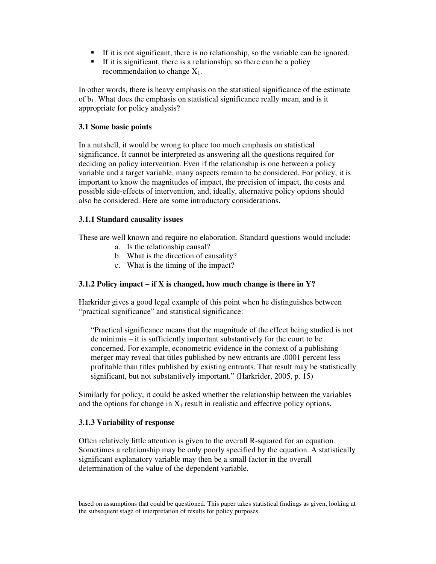- If it is not significant, there is no relationship, so the variable can be ignored.
- If it is significant, there is a relationship, so there can be a policy recommendation to change  $X_1$ .

In other words, there is heavy emphasis on the statistical significance of the estimate of  $b_1$ . What does the emphasis on statistical significance really mean, and is it appropriate for policy analysis?

## **3.1 Some basic points**

In a nutshell, it would be wrong to place too much emphasis on statistical significance. It cannot be interpreted as answering all the questions required for deciding on policy intervention. Even if the relationship is one between a policy variable and a target variable, many aspects remain to be considered. For policy, it is important to know the magnitudes of impact, the precision of impact, the costs and possible side-effects of intervention, and, ideally, alternative policy options should also be considered. Here are some introductory considerations.

## **3.1.1 Standard causality issues**

These are well known and require no elaboration. Standard questions would include:

- a. Is the relationship causal?
- b. What is the direction of causality?
- c. What is the timing of the impact?

# **3.1.2 Policy impact – if X is changed, how much change is there in Y?**

Harkrider gives a good legal example of this point when he distinguishes between "practical significance" and statistical significance:

"Practical significance means that the magnitude of the effect being studied is not de minimis – it is sufficiently important substantively for the court to be concerned. For example, econometric evidence in the context of a publishing merger may reveal that titles published by new entrants are .0001 percent less profitable than titles published by existing entrants. That result may be statistically significant, but not substantively important." (Harkrider, 2005, p. 15)

Similarly for policy, it could be asked whether the relationship between the variables and the options for change in  $X_1$  result in realistic and effective policy options.

## **3.1.3 Variability of response**

-

Often relatively little attention is given to the overall R-squared for an equation. Sometimes a relationship may be only poorly specified by the equation. A statistically significant explanatory variable may then be a small factor in the overall determination of the value of the dependent variable.

based on assumptions that could be questioned. This paper takes statistical findings as given, looking at the subsequent stage of interpretation of results for policy purposes.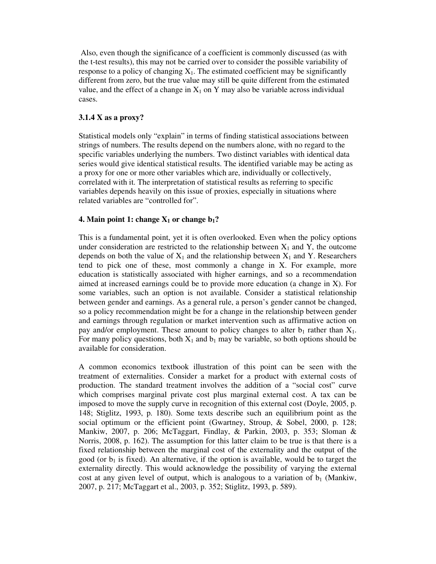Also, even though the significance of a coefficient is commonly discussed (as with the t-test results), this may not be carried over to consider the possible variability of response to a policy of changing  $X_1$ . The estimated coefficient may be significantly different from zero, but the true value may still be quite different from the estimated value, and the effect of a change in  $X_1$  on Y may also be variable across individual cases.

# **3.1.4 X as a proxy?**

Statistical models only "explain" in terms of finding statistical associations between strings of numbers. The results depend on the numbers alone, with no regard to the specific variables underlying the numbers. Two distinct variables with identical data series would give identical statistical results. The identified variable may be acting as a proxy for one or more other variables which are, individually or collectively, correlated with it. The interpretation of statistical results as referring to specific variables depends heavily on this issue of proxies, especially in situations where related variables are "controlled for".

## **4. Main point 1: change**  $X_1$  **or change**  $b_1$ **?**

This is a fundamental point, yet it is often overlooked. Even when the policy options under consideration are restricted to the relationship between  $X_1$  and Y, the outcome depends on both the value of  $X_1$  and the relationship between  $X_1$  and Y. Researchers tend to pick one of these, most commonly a change in X. For example, more education is statistically associated with higher earnings, and so a recommendation aimed at increased earnings could be to provide more education (a change in X). For some variables, such an option is not available. Consider a statistical relationship between gender and earnings. As a general rule, a person's gender cannot be changed, so a policy recommendation might be for a change in the relationship between gender and earnings through regulation or market intervention such as affirmative action on pay and/or employment. These amount to policy changes to alter  $b_1$  rather than  $X_1$ . For many policy questions, both  $X_1$  and  $b_1$  may be variable, so both options should be available for consideration.

A common economics textbook illustration of this point can be seen with the treatment of externalities. Consider a market for a product with external costs of production. The standard treatment involves the addition of a "social cost" curve which comprises marginal private cost plus marginal external cost. A tax can be imposed to move the supply curve in recognition of this external cost (Doyle, 2005, p. 148; Stiglitz, 1993, p. 180). Some texts describe such an equilibrium point as the social optimum or the efficient point (Gwartney, Stroup, & Sobel, 2000, p. 128; Mankiw, 2007, p. 206; McTaggart, Findlay, & Parkin, 2003, p. 353; Sloman & Norris, 2008, p. 162). The assumption for this latter claim to be true is that there is a fixed relationship between the marginal cost of the externality and the output of the good (or  $b_1$  is fixed). An alternative, if the option is available, would be to target the externality directly. This would acknowledge the possibility of varying the external cost at any given level of output, which is analogous to a variation of  $b_1$  (Mankiw, 2007, p. 217; McTaggart et al., 2003, p. 352; Stiglitz, 1993, p. 589).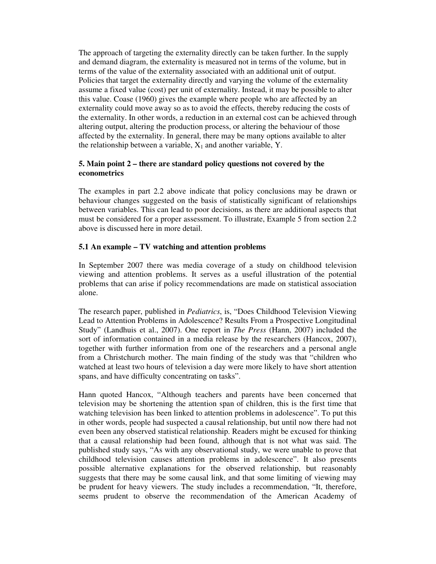The approach of targeting the externality directly can be taken further. In the supply and demand diagram, the externality is measured not in terms of the volume, but in terms of the value of the externality associated with an additional unit of output. Policies that target the externality directly and varying the volume of the externality assume a fixed value (cost) per unit of externality. Instead, it may be possible to alter this value. Coase (1960) gives the example where people who are affected by an externality could move away so as to avoid the effects, thereby reducing the costs of the externality. In other words, a reduction in an external cost can be achieved through altering output, altering the production process, or altering the behaviour of those affected by the externality. In general, there may be many options available to alter the relationship between a variable,  $X_1$  and another variable, Y.

## **5. Main point 2 – there are standard policy questions not covered by the econometrics**

The examples in part 2.2 above indicate that policy conclusions may be drawn or behaviour changes suggested on the basis of statistically significant of relationships between variables. This can lead to poor decisions, as there are additional aspects that must be considered for a proper assessment. To illustrate, Example 5 from section 2.2 above is discussed here in more detail.

## **5.1 An example – TV watching and attention problems**

In September 2007 there was media coverage of a study on childhood television viewing and attention problems. It serves as a useful illustration of the potential problems that can arise if policy recommendations are made on statistical association alone.

The research paper, published in *Pediatrics*, is, "Does Childhood Television Viewing Lead to Attention Problems in Adolescence? Results From a Prospective Longitudinal Study" (Landhuis et al., 2007). One report in *The Press* (Hann, 2007) included the sort of information contained in a media release by the researchers (Hancox, 2007), together with further information from one of the researchers and a personal angle from a Christchurch mother. The main finding of the study was that "children who watched at least two hours of television a day were more likely to have short attention spans, and have difficulty concentrating on tasks".

Hann quoted Hancox, "Although teachers and parents have been concerned that television may be shortening the attention span of children, this is the first time that watching television has been linked to attention problems in adolescence". To put this in other words, people had suspected a causal relationship, but until now there had not even been any observed statistical relationship. Readers might be excused for thinking that a causal relationship had been found, although that is not what was said. The published study says, "As with any observational study, we were unable to prove that childhood television causes attention problems in adolescence". It also presents possible alternative explanations for the observed relationship, but reasonably suggests that there may be some causal link, and that some limiting of viewing may be prudent for heavy viewers. The study includes a recommendation, "It, therefore, seems prudent to observe the recommendation of the American Academy of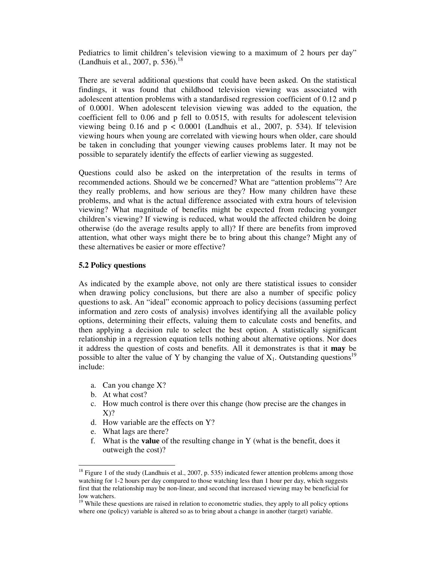Pediatrics to limit children's television viewing to a maximum of 2 hours per day" (Landhuis et al., 2007, p. 536).<sup>18</sup>

There are several additional questions that could have been asked. On the statistical findings, it was found that childhood television viewing was associated with adolescent attention problems with a standardised regression coefficient of 0.12 and p of 0.0001. When adolescent television viewing was added to the equation, the coefficient fell to 0.06 and p fell to 0.0515, with results for adolescent television viewing being 0.16 and  $p < 0.0001$  (Landhuis et al., 2007, p. 534). If television viewing hours when young are correlated with viewing hours when older, care should be taken in concluding that younger viewing causes problems later. It may not be possible to separately identify the effects of earlier viewing as suggested.

Questions could also be asked on the interpretation of the results in terms of recommended actions. Should we be concerned? What are "attention problems"? Are they really problems, and how serious are they? How many children have these problems, and what is the actual difference associated with extra hours of television viewing? What magnitude of benefits might be expected from reducing younger children's viewing? If viewing is reduced, what would the affected children be doing otherwise (do the average results apply to all)? If there are benefits from improved attention, what other ways might there be to bring about this change? Might any of these alternatives be easier or more effective?

#### **5.2 Policy questions**

As indicated by the example above, not only are there statistical issues to consider when drawing policy conclusions, but there are also a number of specific policy questions to ask. An "ideal" economic approach to policy decisions (assuming perfect information and zero costs of analysis) involves identifying all the available policy options, determining their effects, valuing them to calculate costs and benefits, and then applying a decision rule to select the best option. A statistically significant relationship in a regression equation tells nothing about alternative options. Nor does it address the question of costs and benefits. All it demonstrates is that it **may** be possible to alter the value of Y by changing the value of  $X_1$ . Outstanding questions<sup>19</sup> include:

- a. Can you change X?
- b. At what cost?

-

- c. How much control is there over this change (how precise are the changes in  $X$ ?
- d. How variable are the effects on Y?
- e. What lags are there?
- f. What is the **value** of the resulting change in Y (what is the benefit, does it outweigh the cost)?

<sup>&</sup>lt;sup>18</sup> Figure 1 of the study (Landhuis et al., 2007, p. 535) indicated fewer attention problems among those watching for 1-2 hours per day compared to those watching less than 1 hour per day, which suggests first that the relationship may be non-linear, and second that increased viewing may be beneficial for low watchers.

<sup>&</sup>lt;sup>19</sup> While these questions are raised in relation to econometric studies, they apply to all policy options where one (policy) variable is altered so as to bring about a change in another (target) variable.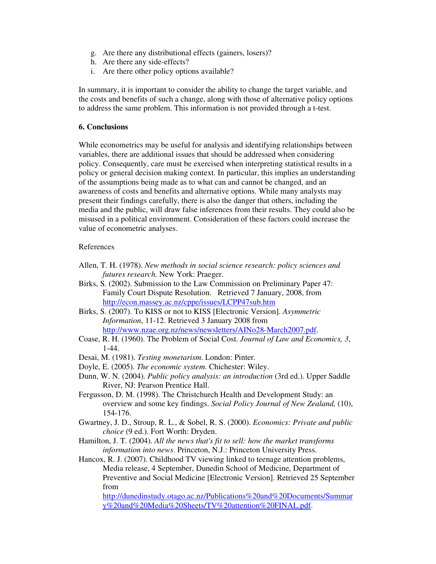- g. Are there any distributional effects (gainers, losers)?
- h. Are there any side-effects?
- i. Are there other policy options available?

In summary, it is important to consider the ability to change the target variable, and the costs and benefits of such a change, along with those of alternative policy options to address the same problem. This information is not provided through a t-test.

#### **6. Conclusions**

While econometrics may be useful for analysis and identifying relationships between variables, there are additional issues that should be addressed when considering policy. Consequently, care must be exercised when interpreting statistical results in a policy or general decision making context. In particular, this implies an understanding of the assumptions being made as to what can and cannot be changed, and an awareness of costs and benefits and alternative options. While many analysts may present their findings carefully, there is also the danger that others, including the media and the public, will draw false inferences from their results. They could also be misused in a political environment. Consideration of these factors could increase the value of econometric analyses.

#### References

- Allen, T. H. (1978). *New methods in social science research: policy sciences and futures research*. New York: Praeger.
- Birks, S. (2002). Submission to the Law Commission on Preliminary Paper 47: Family Court Dispute Resolution. Retrieved 7 January, 2008, from http://econ.massey.ac.nz/cppe/issues/LCPP47sub.htm
- Birks, S. (2007). To KISS or not to KISS [Electronic Version]. *Asymmetric Information*, 11-12. Retrieved 3 January 2008 from http://www.nzae.org.nz/news/newsletters/AINo28-March2007.pdf.
- Coase, R. H. (1960). The Problem of Social Cost. *Journal of Law and Economics, 3*, 1-44.
- Desai, M. (1981). *Testing monetarism*. London: Pinter.
- Doyle, E. (2005). *The economic system*. Chichester: Wiley.
- Dunn, W. N. (2004). *Public policy analysis: an introduction* (3rd ed.). Upper Saddle River, NJ: Pearson Prentice Hall.
- Fergusson, D. M. (1998). The Christchurch Health and Development Study: an overview and some key findings. *Social Policy Journal of New Zealand,* (10), 154-176.
- Gwartney, J. D., Stroup, R. L., & Sobel, R. S. (2000). *Economics: Private and public choice* (9 ed.). Fort Worth: Dryden.
- Hamilton, J. T. (2004). *All the news that's fit to sell: how the market transforms information into news*. Princeton, N.J.: Princeton University Press.

Hancox, R. J. (2007). Childhood TV viewing linked to teenage attention problems, Media release, 4 September, Dunedin School of Medicine, Department of Preventive and Social Medicine [Electronic Version]. Retrieved 25 September from

http://dunedinstudy.otago.ac.nz/Publications%20and%20Documents/Summar y%20and%20Media%20Sheets/TV%20attention%20FINAL.pdf.